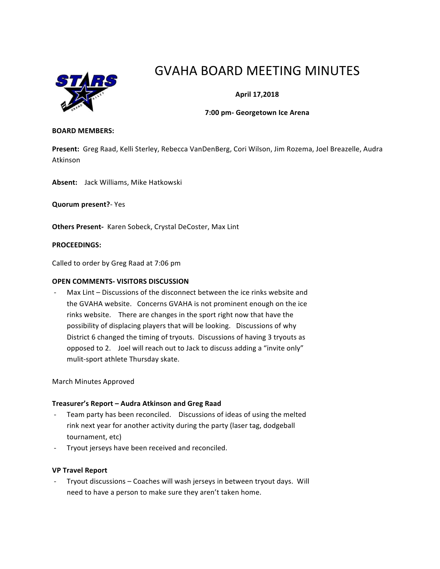

# GVAHA BOARD MEETING MINUTES

# **April 17,2018**

## **7:00 pm- Georgetown Ice Arena**

#### **BOARD MEMBERS:**

Present: Greg Raad, Kelli Sterley, Rebecca VanDenBerg, Cori Wilson, Jim Rozema, Joel Breazelle, Audra Atkinson

Absent: Jack Williams, Mike Hatkowski

**Quorum present?**- Yes

**Others Present-** Karen Sobeck, Crystal DeCoster, Max Lint

## **PROCEEDINGS:**

Called to order by Greg Raad at 7:06 pm

## **OPEN COMMENTS- VISITORS DISCUSSION**

Max Lint – Discussions of the disconnect between the ice rinks website and the GVAHA website. Concerns GVAHA is not prominent enough on the ice rinks website. There are changes in the sport right now that have the possibility of displacing players that will be looking. Discussions of why District 6 changed the timing of tryouts. Discussions of having 3 tryouts as opposed to 2. Joel will reach out to Jack to discuss adding a "invite only" mulit-sport athlete Thursday skate.

March Minutes Approved

## **Treasurer's Report – Audra Atkinson and Greg Raad**

- Team party has been reconciled. Discussions of ideas of using the melted rink next year for another activity during the party (laser tag, dodgeball tournament, etc)
- Tryout jerseys have been received and reconciled.

## **VP Travel Report**

Tryout discussions - Coaches will wash jerseys in between tryout days. Will need to have a person to make sure they aren't taken home.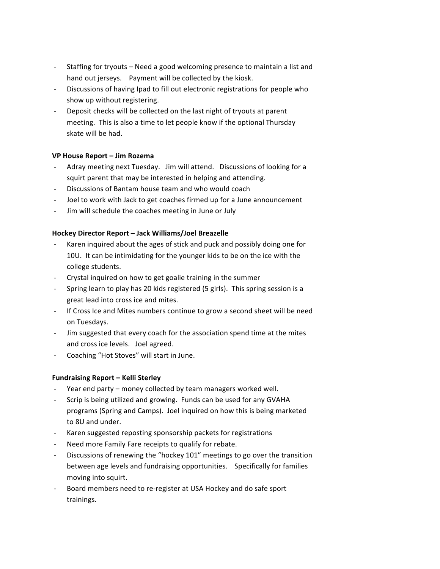- Staffing for tryouts Need a good welcoming presence to maintain a list and hand out jerseys. Payment will be collected by the kiosk.
- Discussions of having Ipad to fill out electronic registrations for people who show up without registering.
- Deposit checks will be collected on the last night of tryouts at parent meeting. This is also a time to let people know if the optional Thursday skate will be had.

# **VP House Report – Jim Rozema**

- Adray meeting next Tuesday. Jim will attend. Discussions of looking for a squirt parent that may be interested in helping and attending.
- Discussions of Bantam house team and who would coach
- Joel to work with Jack to get coaches firmed up for a June announcement
- Jim will schedule the coaches meeting in June or July

# **Hockey Director Report – Jack Williams/Joel Breazelle**

- Karen inquired about the ages of stick and puck and possibly doing one for 10U. It can be intimidating for the younger kids to be on the ice with the college students.
- Crystal inquired on how to get goalie training in the summer
- Spring learn to play has 20 kids registered (5 girls). This spring session is a great lead into cross ice and mites.
- If Cross Ice and Mites numbers continue to grow a second sheet will be need on Tuesdays.
- Jim suggested that every coach for the association spend time at the mites and cross ice levels. Joel agreed.
- Coaching "Hot Stoves" will start in June.

# **Fundraising Report – Kelli Sterley**

- Year end party money collected by team managers worked well.
- Scrip is being utilized and growing. Funds can be used for any GVAHA programs (Spring and Camps). Joel inquired on how this is being marketed to 8U and under.
- Karen suggested reposting sponsorship packets for registrations
- Need more Family Fare receipts to qualify for rebate.
- Discussions of renewing the "hockey 101" meetings to go over the transition between age levels and fundraising opportunities. Specifically for families moving into squirt.
- Board members need to re-register at USA Hockey and do safe sport trainings.